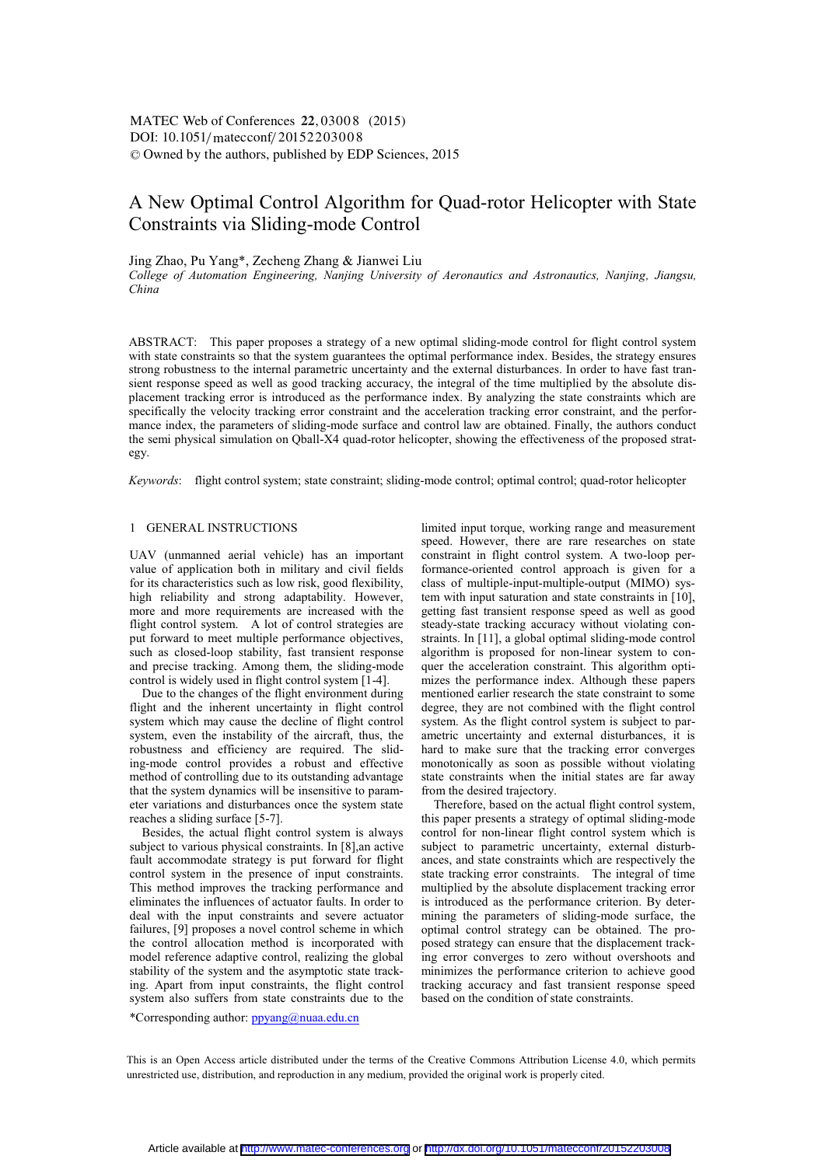# A New Optimal Control Algorithm for Quad-rotor Helicopter with State Constraints via Sliding-mode Control

# Jing Zhao, Pu Yang\*, Zecheng Zhang & Jianwei Liu

*College of Automation Engineering, Nanjing University of Aeronautics and Astronautics, Nanjing, Jiangsu, China* 

ABSTRACT: This paper proposes a strategy of a new optimal sliding-mode control for flight control system with state constraints so that the system guarantees the optimal performance index. Besides, the strategy ensures strong robustness to the internal parametric uncertainty and the external disturbances. In order to have fast transient response speed as well as good tracking accuracy, the integral of the time multiplied by the absolute displacement tracking error is introduced as the performance index. By analyzing the state constraints which are specifically the velocity tracking error constraint and the acceleration tracking error constraint, and the performance index, the parameters of sliding-mode surface and control law are obtained. Finally, the authors conduct the semi physical simulation on Qball-X4 quad-rotor helicopter, showing the effectiveness of the proposed strategy.

*Keywords*: flight control system; state constraint; sliding-mode control; optimal control; quad-rotor helicopter

# 1 GENERAL INSTRUCTIONS

UAV (unmanned aerial vehicle) has an important value of application both in military and civil fields for its characteristics such as low risk, good flexibility, high reliability and strong adaptability. However, more and more requirements are increased with the flight control system. A lot of control strategies are put forward to meet multiple performance objectives, such as closed-loop stability, fast transient response and precise tracking. Among them, the sliding-mode control is widely used in flight control system [1-4].

Due to the changes of the flight environment during flight and the inherent uncertainty in flight control system which may cause the decline of flight control system, even the instability of the aircraft, thus, the robustness and efficiency are required. The sliding-mode control provides a robust and effective method of controlling due to its outstanding advantage that the system dynamics will be insensitive to parameter variations and disturbances once the system state reaches a sliding surface [5-7].

Besides, the actual flight control system is always subject to various physical constraints. In [8],an active fault accommodate strategy is put forward for flight control system in the presence of input constraints. This method improves the tracking performance and eliminates the influences of actuator faults. In order to deal with the input constraints and severe actuator failures, [9] proposes a novel control scheme in which the control allocation method is incorporated with model reference adaptive control, realizing the global stability of the system and the asymptotic state tracking. Apart from input constraints, the flight control system also suffers from state constraints due to the

limited input torque, working range and measurement speed. However, there are rare researches on state constraint in flight control system. A two-loop performance-oriented control approach is given for a class of multiple-input-multiple-output (MIMO) system with input saturation and state constraints in [10], getting fast transient response speed as well as good steady-state tracking accuracy without violating constraints. In [11], a global optimal sliding-mode control algorithm is proposed for non-linear system to conquer the acceleration constraint. This algorithm optimizes the performance index. Although these papers mentioned earlier research the state constraint to some degree, they are not combined with the flight control system. As the flight control system is subject to parametric uncertainty and external disturbances, it is hard to make sure that the tracking error converges monotonically as soon as possible without violating state constraints when the initial states are far away from the desired trajectory.

Therefore, based on the actual flight control system, this paper presents a strategy of optimal sliding-mode control for non-linear flight control system which is subject to parametric uncertainty, external disturbances, and state constraints which are respectively the state tracking error constraints. The integral of time multiplied by the absolute displacement tracking error is introduced as the performance criterion. By determining the parameters of sliding-mode surface, the optimal control strategy can be obtained. The proposed strategy can ensure that the displacement tracking error converges to zero without overshoots and minimizes the performance criterion to achieve good tracking accuracy and fast transient response speed based on the condition of state constraints.

\*Corresponding author:  $ppyang@nuaa.edu.cn$ 

This is an Open Access article distributed under the terms of the Creative Commons Attribution License 4.0, which permits unrestricted use, distribution, and reproduction in any medium, provided the original work is properly cited.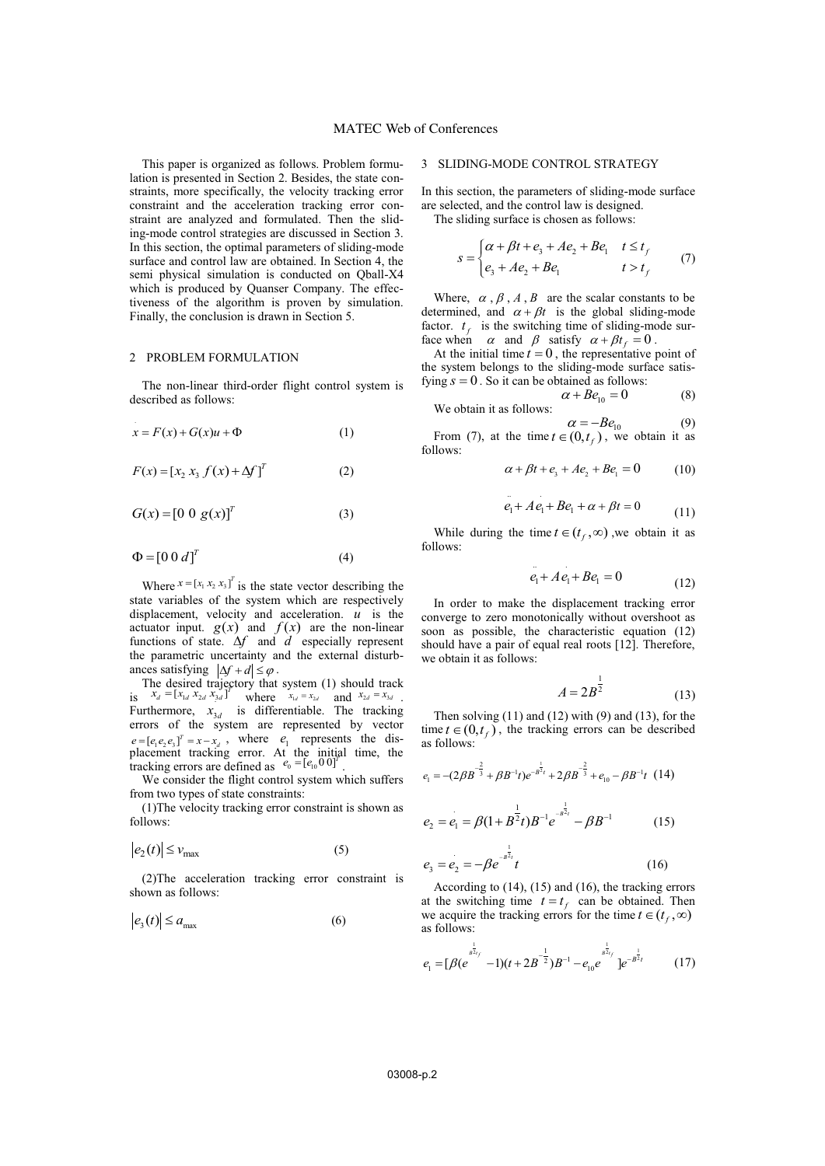This paper is organized as follows. Problem formulation is presented in Section 2. Besides, the state constraints, more specifically, the velocity tracking error constraint and the acceleration tracking error constraint are analyzed and formulated. Then the sliding-mode control strategies are discussed in Section 3. In this section, the optimal parameters of sliding-mode surface and control law are obtained. In Section 4, the semi physical simulation is conducted on Qball-X4 which is produced by Quanser Company. The effectiveness of the algorithm is proven by simulation. Finally, the conclusion is drawn in Section 5.

# 2 PROBLEM FORMULATION

The non-linear third-order flight control system is described as follows:

$$
x = F(x) + G(x)u + \Phi
$$
 (1)

$$
F(x) = [x_2 \, x_3 \, f(x) + \Delta f]^T \tag{2}
$$

$$
G(x) = [0 \ 0 \ g(x)]^T
$$
 (3)

$$
\Phi = [0 \ 0 \ d]^T \tag{4}
$$

Where  $x = [x_1 x_2 x_3]^T$  is the state vector describing the state variables of the system which are respectively displacement, velocity and acceleration.  $\vec{u}$  is the actuator input.  $g(x)$  and  $f(x)$  are the non-linear functions of state.  $\Delta f$  and  $\tilde{d}$  especially represent the parametric uncertainty and the external disturbances satisfying  $|\Delta f + d| \le \varphi$ .

The desired trajectory that system (1) should track is  $x_d = [x_{1d} x_{2d} x_{3d}]^T$  where  $x_{1d} = x_{2d}$  and  $x_{2d} = x_{3d}$ . Furthermore,  $x_{3d}$  is differentiable. The tracking errors of the system are represented by vector  $e = [e_1 e_2 e_3]^T = x - x_d$ , where  $e_1$  represents the displacement tracking error. At the initial time, the tracking errors are defined as  $e_0 = [e_{10} 0 0]^T$ .

We consider the flight control system which suffers from two types of state constraints:

(1)The velocity tracking error constraint is shown as follows:

$$
|e_2(t)| \le v_{\text{max}} \tag{5}
$$

(2)The acceleration tracking error constraint is shown as follows:

$$
|e_3(t)| \le a_{\max} \tag{6}
$$

# 3 SLIDING-MODE CONTROL STRATEGY

In this section, the parameters of sliding-mode surface are selected, and the control law is designed.

The sliding surface is chosen as follows:

$$
s = \begin{cases} \alpha + \beta t + e_3 + Ae_2 + Be_1 & t \le t_f \\ e_3 + Ae_2 + Be_1 & t > t_f \end{cases}
$$
 (7)

Where,  $\alpha$ ,  $\beta$ ,  $A$ ,  $B$  are the scalar constants to be determined, and  $\alpha + \beta t$  is the global sliding-mode factor.  $t_f$  is the switching time of sliding-mode surface when  $\alpha$  and  $\beta$  satisfy  $\alpha + \beta t_f = 0$ .

At the initial time  $t = 0$ , the representative point of the system belongs to the sliding-mode surface satisfying  $s = 0$ . So it can be obtained as follows:<br> $\alpha + Be_{10} = 0$ 

$$
\alpha + Be_{10} = 0
$$
 (8)  
We obtain it as follows:

 $\alpha = -Be_{10}$  (9) From (7), at the time  $t \in (0, t_f)$ , we obtain it as follows:

$$
\alpha + \beta t + e_3 + Ae_2 + Be_1 = 0 \tag{10}
$$

$$
e_1 + Ae_1 + Be_1 + \alpha + \beta t = 0 \tag{11}
$$

While during the time  $t \in (t_f, \infty)$ , we obtain it as follows:

$$
e_1 + Ae_1 + Be_1 = 0 \tag{12}
$$

In order to make the displacement tracking error converge to zero monotonically without overshoot as soon as possible, the characteristic equation (12) should have a pair of equal real roots [12]. Therefore, we obtain it as follows:

$$
A = 2B^{\overline{2}} \tag{13}
$$

1

Then solving  $(11)$  and  $(12)$  with  $(9)$  and  $(13)$ , for the time  $t \in (0, t_f)$ , the tracking errors can be described as follows:

$$
e_1 = -(2\beta B^{-\frac{2}{3}} + \beta B^{-1}t)e^{-B^{\frac{1}{3}}t} + 2\beta B^{-\frac{2}{3}} + e_{10} - \beta B^{-1}t \quad (14)
$$

$$
e_2 = e_1 = \beta (1 + B^{\frac{1}{2}} t) B^{-1} e^{-B^{\frac{1}{2}t}} - \beta B^{-1}
$$
 (15)

$$
e_3 = e_2 = -\beta e^{-\frac{1}{\beta^2 t}}t \tag{16}
$$

According to (14), (15) and (16), the tracking errors at the switching time  $t = t_f$  can be obtained. Then we acquire the tracking errors for the time  $t \in (t_f, \infty)$ as follows:

$$
e_1 = [\beta(e^{j\frac{1}{B_{2f}}}-1)(t+2B^{-\frac{1}{2}})B^{-1} - e_{10}e^{j\frac{1}{B_{2f}}}]e^{-B^{\frac{1}{2}}t} \qquad (17)
$$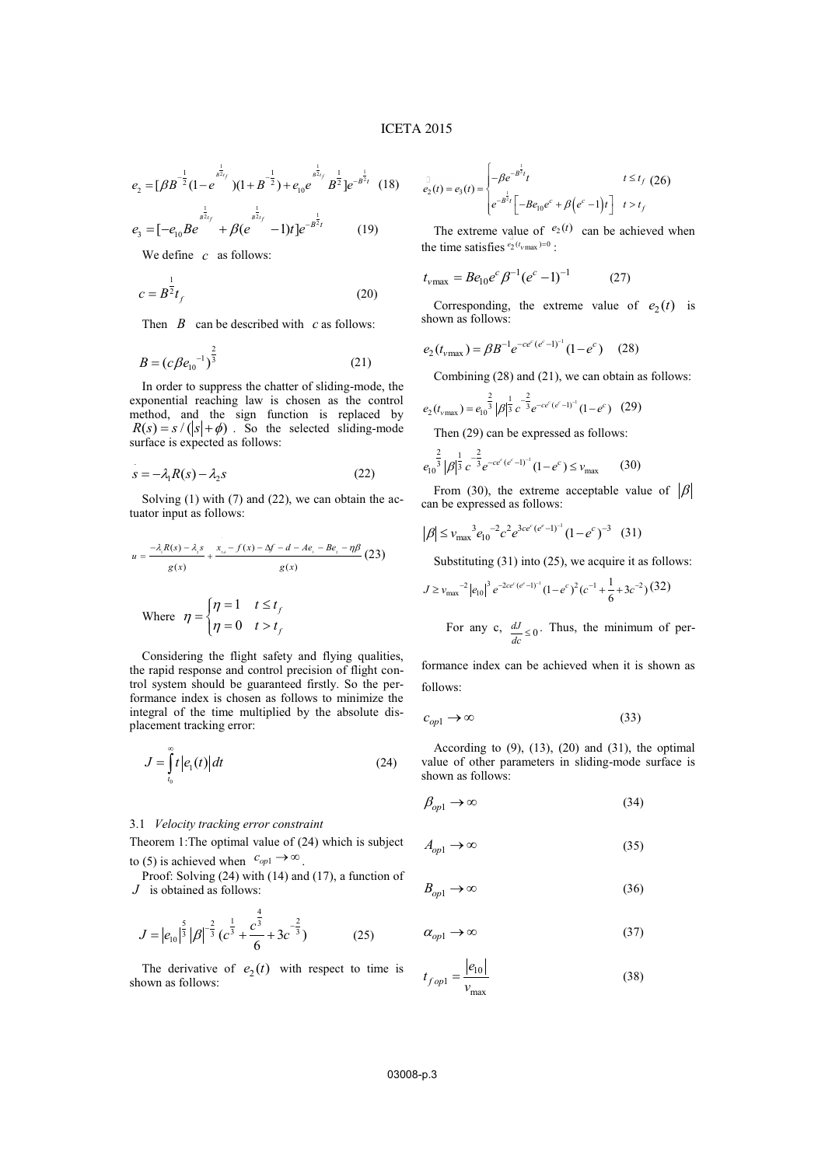$$
e_2 = \left[\beta B^{-\frac{1}{2}}(1 - e^{-\frac{1}{B^{2t}}})\left(1 + B^{-\frac{1}{2}}\right) + e_{10}e^{-\frac{1}{B^{2t}}t}B^{\frac{1}{2}}\right]e^{-B^{\frac{1}{2t}}} \quad (18)
$$

$$
e_3 = \left[ -e_{10}Be^{B^{2t}f} + \beta(e^{B^{2t}f} - 1)t \right]e^{-B^2t} \tag{19}
$$

We define *c* as follows:

$$
c = B^{\frac{1}{2}}t_f \tag{20}
$$

Then *B* can be described with *c* as follows:

$$
B = (c \beta e_{10}^{-1})^{\frac{2}{3}}
$$
 (21)

In order to suppress the chatter of sliding-mode, the exponential reaching law is chosen as the control method, and the sign function is replaced by  $R(s) = s / (s + \phi)$ . So the selected sliding-mode surface is expected as follows:

$$
s = -\lambda_1 R(s) - \lambda_2 s \tag{22}
$$

Solving (1) with (7) and (22), we can obtain the actuator input as follows:

$$
u = \frac{-\lambda_i R(s) - \lambda_i s}{g(x)} + \frac{x_{s} - f(x) - \Delta f - d - Ae_s - Be_s - \eta \beta}{g(x)}
$$
\n
$$
g(x)
$$
\nWhere

\n
$$
\eta = \begin{cases} \eta = 1 & t \le t_f \\ \eta = 0 & t > t_f \end{cases} \tag{23}
$$

Considering the flight safety and flying qualities, the rapid response and control precision of flight control system should be guaranteed firstly. So the performance index is chosen as follows to minimize the integral of the time multiplied by the absolute displacement tracking error:

$$
J = \int_{t_0}^{\infty} t \left| e_1(t) \right| dt \tag{24}
$$

# 3.1 *Velocity tracking error constraint*

Theorem 1:The optimal value of (24) which is subject to (5) is achieved when  $c_{op1} \rightarrow \infty$ .

Proof: Solving (24) with (14) and (17), a function of *J* is obtained as follows:

$$
J = |e_{10}|^{\frac{5}{3}} |\beta|^{-\frac{2}{3}} (c^{\frac{1}{3}} + \frac{c^{\frac{4}{3}}}{6} + 3c^{-\frac{2}{3}})
$$
 (25)

The derivative of  $e_2(t)$  with respect to time is shown as follows:

$$
e_{2}(t) = e_{3}(t) = \begin{cases} -\beta e^{-B^{\frac{1}{2}}t}t & t \leq t_{f} \ (26) \\ e^{-B^{\frac{1}{2}}t} \left[ -Be_{10}e^{c} + \beta(e^{c}-1)t \right] & t > t_{f} \end{cases}
$$

The extreme value of  $e_2(t)$  can be achieved when the time satisfies  $e_2(t_{vmax})=0$ :

$$
t_{\text{vmax}} = Be_{10}e^{c} \beta^{-1} (e^{c} - 1)^{-1}
$$
 (27)

Corresponding, the extreme value of  $e_2(t)$  is shown as follows:

$$
e_2(t_{\text{vmax}}) = \beta B^{-1} e^{-c e^c (e^c - 1)^{-1}} (1 - e^c) \quad (28)
$$

Combining (28) and (21), we can obtain as follows:

$$
e_2(t_{\text{vmax}}) = e_{10}^{\frac{2}{3}} |\beta|^{\frac{1}{3}} c^{-\frac{2}{3}} e^{-c e^c (e^c - 1)^{-1}} (1 - e^c) \quad (29)
$$

Then (29) can be expressed as follows:

$$
e_{10}^{\frac{2}{3}}|\beta|^{\frac{1}{3}}c^{-\frac{2}{3}}e^{-ce^{c}(e^{c}-1)^{-1}}(1-e^{c}) \leq v_{\text{max}} \qquad (30)
$$

From (30), the extreme acceptable value of  $\beta$ can be expressed as follows:

$$
|\beta| \le v_{\text{max}}^3 e_{10}^{-2} c^2 e^{3c e^c (e^e - 1)^{-1}} (1 - e^c)^{-3} \quad (31)
$$

Substituting (31) into (25), we acquire it as follows:

$$
J \ge v_{\text{max}}^{-2} |e_{10}|^3 e^{-2c e^c (e^c - 1)^{-1}} (1 - e^c)^2 (c^{-1} + \frac{1}{6} + 3c^{-2}) (32)
$$

For any c,  $\frac{dJ}{dc} \leq 0$ . Thus, the minimum of per-

formance index can be achieved when it is shown as follows:

$$
c_{op1} \to \infty \tag{33}
$$

According to  $(9)$ ,  $(13)$ ,  $(20)$  and  $(31)$ , the optimal value of other parameters in sliding-mode surface is shown as follows:

$$
\beta_{op1} \to \infty \tag{34}
$$

$$
A_{op1} \to \infty \tag{35}
$$

$$
B_{op1} \to \infty \tag{36}
$$

$$
\alpha_{op1} \to \infty \tag{37}
$$

$$
t_{fop1} = \frac{|e_{10}|}{v_{\text{max}}}
$$
\n(38)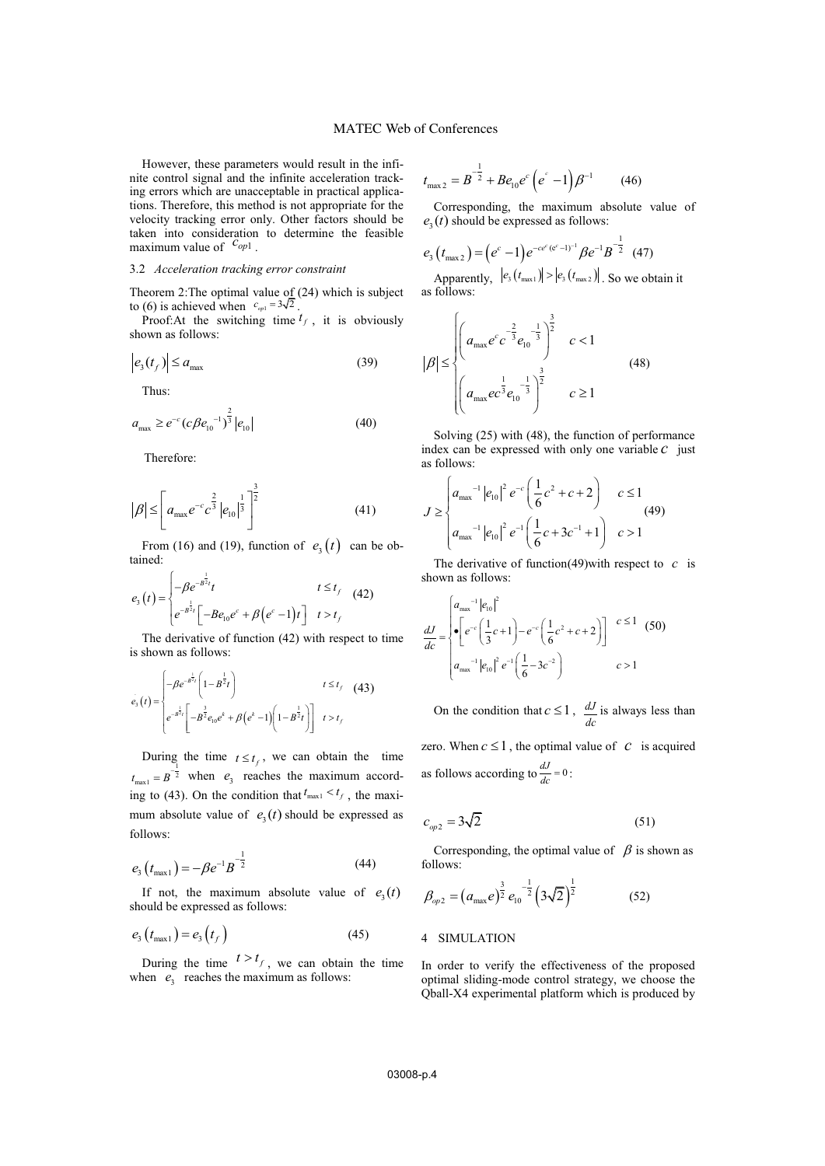However, these parameters would result in the infinite control signal and the infinite acceleration tracking errors which are unacceptable in practical applications. Therefore, this method is not appropriate for the velocity tracking error only. Other factors should be taken into consideration to determine the feasible maximum value of  $c_{op1}$ .

# 3.2 *Acceleration tracking error constraint*

Theorem 2: The optimal value of (24) which is subject to (6) is achieved when  $c_{\varphi_1} = 3\sqrt{2}$ .

Proof: At the switching time  $t_f$ , it is obviously shown as follows:

$$
\left| e_3(t_f) \right| \le a_{\text{max}} \tag{39}
$$

Thus:

$$
a_{\max} \ge e^{-c} (c \beta e_{10}^{-1})^{\frac{2}{3}} |e_{10}| \tag{40}
$$

Therefore:

$$
|\beta| \le \left[ a_{\text{max}} e^{-c} c^{\frac{2}{3}} |e_{10}|^{\frac{1}{3}} \right]^{\frac{3}{2}}
$$
 (41)

From (16) and (19), function of  $e_3(t)$  can be obtained:

$$
e_{3}(t) = \begin{cases} -\beta e^{-B^{\frac{1}{2}}t}t & t \leq t_{f} \\ e^{-B^{\frac{1}{2}}t} \left[ -B e_{10} e^{c} + \beta (e^{c} - 1)t \right] & t > t_{f} \end{cases}
$$
(42)

The derivative of function (42) with respect to time is shown as follows:

$$
e_{3}(t) = \begin{cases} -\beta e^{-B^{\frac{1}{2}t}} \left(1 - B^{\frac{1}{2}t}\right) & t \leq t_{f} \quad (43) \\ e^{-B^{\frac{1}{2}t}} \left[-B^{\frac{3}{2}}e_{10}e^{k} + \beta\left(e^{k} - 1\right)\left(1 - B^{\frac{1}{2}t}\right)\right] & t > t_{f} \end{cases}
$$

During the time  $t \leq t_f$ , we can obtain the time  $t_{\text{max1}} = B^{-\frac{1}{2}}$  when  $e_3$  reaches the maximum according to (43). On the condition that  $t_{\text{max1}} < t_f$ , the maximum absolute value of  $e_3(t)$  should be expressed as follows:

$$
e_3(t_{\text{max1}}) = -\beta e^{-1} B^{-\frac{1}{2}}
$$
 (44)

If not, the maximum absolute value of  $e_3(t)$ should be expressed as follows:

$$
e_{3}\left(t_{\max 1}\right) = e_{3}\left(t_{f}\right) \tag{45}
$$

During the time  $t > t_f$ , we can obtain the time when  $e_3$  reaches the maximum as follows:

$$
t_{\max 2} = B^{-\frac{1}{2}} + B e_{10} e^{c} \left( e^{c} - 1 \right) \beta^{-1}
$$
 (46)

Corresponding, the maximum absolute value of  $e_3(t)$  should be expressed as follows:

$$
e_3(t_{\text{max}2}) = (e^c - 1)e^{-ce^c(e^c - 1)^{-1}} \beta e^{-1} B^{-\frac{1}{2}} \quad (47)
$$

Apparently,  $|e_3(t_{\text{max1}})| > |e_3(t_{\text{max2}})|$ . So we obtain it as follows:

$$
|\beta| \le \begin{cases} \left(a_{\max}e^{c}c^{-\frac{2}{3}}e_{10}^{-\frac{1}{3}}\right)^{\frac{3}{2}} & c < 1\\ \left(a_{\max}e^{-\frac{1}{3}}e_{10}^{-\frac{1}{3}}\right)^{\frac{3}{2}} & c \ge 1 \end{cases} \tag{48}
$$

Solving (25) with (48), the function of performance index can be expressed with only one variable *c* just as follows:

$$
J \ge \begin{cases} a_{\text{max}}^{-1} |e_{10}|^2 e^{-c} \left( \frac{1}{6} c^2 + c + 2 \right) & c \le 1 \\ a_{\text{max}}^{-1} |e_{10}|^2 e^{-c} \left( \frac{1}{6} c + 3c^{-1} + 1 \right) & c > 1 \end{cases} \tag{49}
$$

The derivative of function(49)with respect to *c* is shown as follows:

$$
\frac{dJ}{dc} = \begin{cases} a_{\text{max}}^{-1} |e_{10}|^2 \\ \bullet \left[ e^{-c} \left( \frac{1}{3} c + 1 \right) - e^{-c} \left( \frac{1}{6} c^2 + c + 2 \right) \right] & c \le 1 \\ a_{\text{max}}^{-1} |e_{10}|^2 e^{-1} \left( \frac{1}{6} - 3c^{-2} \right) & c > 1 \end{cases} \tag{50}
$$

On the condition that  $c \le 1$ ,  $\frac{dJ}{dc}$ is always less than zero. When  $c \leq 1$ , the optimal value of *c* is acquired as follows according to  $\frac{dJ}{dc} = 0$ :

$$
c_{op2} = 3\sqrt{2} \tag{51}
$$

Corresponding, the optimal value of  $\beta$  is shown as follows:

$$
\beta_{op2} = \left(a_{\text{max}}e\right)^{\frac{3}{2}}e_{10}^{-\frac{1}{2}}\left(3\sqrt{2}\right)^{\frac{1}{2}}
$$
 (52)

### 4 SIMULATION

In order to verify the effectiveness of the proposed optimal sliding-mode control strategy, we choose the Qball-X4 experimental platform which is produced by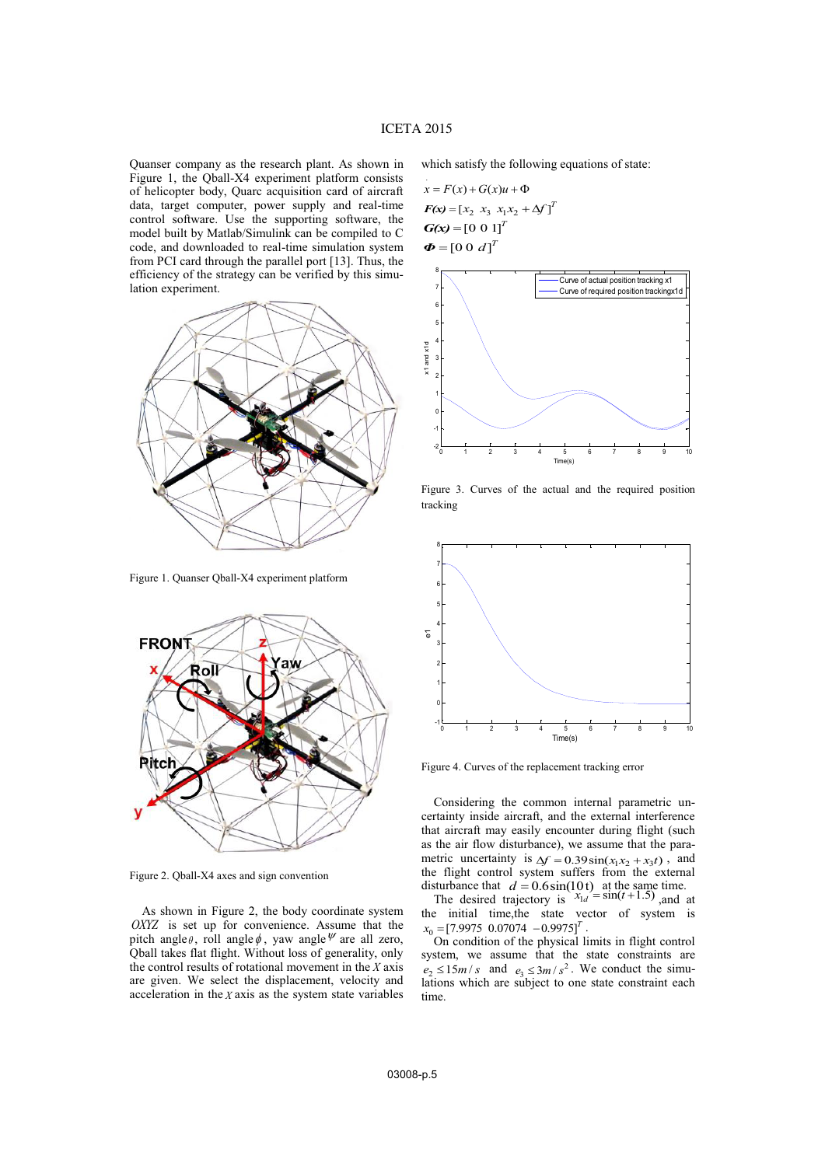.

Quanser company as the research plant. As shown in Figure 1, the Qball-X4 experiment platform consists of helicopter body, Quarc acquisition card of aircraft data, target computer, power supply and real-time control software. Use the supporting software, the model built by Matlab/Simulink can be compiled to C code, and downloaded to real-time simulation system from PCI card through the parallel port [13]. Thus, the efficiency of the strategy can be verified by this simulation experiment.



Figure 1. Quanser Qball-X4 experiment platform



Figure 2. Qball-X4 axes and sign convention

As shown in Figure 2, the body coordinate system *OXYZ* is set up for convenience. Assume that the pitch angle $\theta$ , roll angle  $\phi$ , yaw angle  $\psi$  are all zero, Qball takes flat flight. Without loss of generality, only the control results of rotational movement in the *X* axis are given. We select the displacement, velocity and acceleration in the *X* axis as the system state variables

which satisfy the following equations of state:

$$
x = F(x) + G(x)u + \Phi
$$
  
\n
$$
F(x) = [x_2 \ x_3 \ x_1x_2 + \Delta f]^T
$$
  
\n
$$
G(x) = [0 \ 0 \ 1]^T
$$
  
\n
$$
\Phi = [0 \ 0 \ d]^T
$$



Figure 3. Curves of the actual and the required position tracking



Figure 4. Curves of the replacement tracking error

Considering the common internal parametric uncertainty inside aircraft, and the external interference that aircraft may easily encounter during flight (such as the air flow disturbance), we assume that the parametric uncertainty is  $\Delta f = 0.39 \sin(x_1 x_2 + x_3 t)$ , and the flight control system suffers from the external disturbance that  $d = 0.6 \sin(10t)$  at the same time.<br>The desired trajectory is  $x_{1d} = \sin(t+1.5)$  and at

the initial time,the state vector of system is  $x_0 = \begin{bmatrix} 7.9975 & 0.07074 & -0.9975 \end{bmatrix}^T$ 

On condition of the physical limits in flight control system, we assume that the state constraints are  $e_2 \le 15 m/s$  and  $e_3 \le 3 m/s^2$ . We conduct the simulations which are subject to one state constraint each time.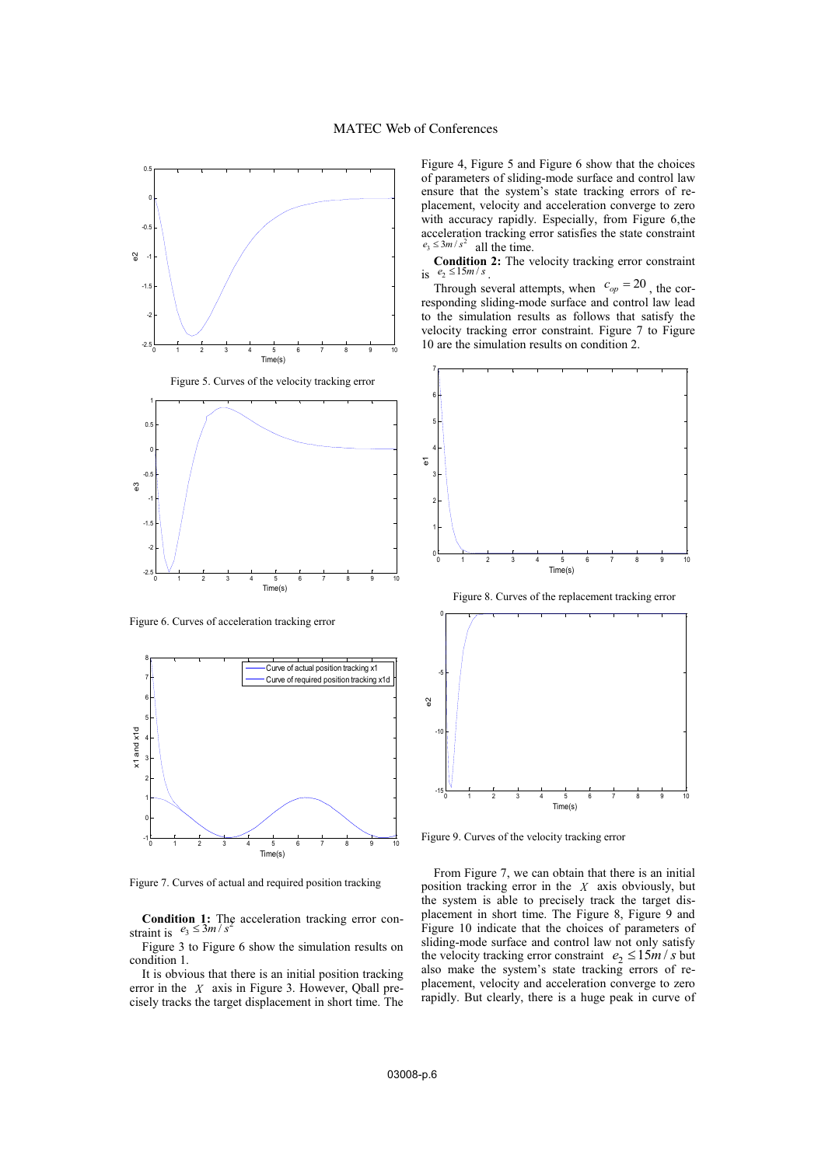

Figure 6. Curves of acceleration tracking error



Figure 7. Curves of actual and required position tracking

**Condition 1:** The acceleration tracking error constraint is  $e_3 \leq 3m/s^2$ 

Figure 3 to Figure 6 show the simulation results on condition 1.

It is obvious that there is an initial position tracking error in the *X* axis in Figure 3. However, Qball precisely tracks the target displacement in short time. The Figure 4, Figure 5 and Figure 6 show that the choices of parameters of sliding-mode surface and control law ensure that the system's state tracking errors of replacement, velocity and acceleration converge to zero with accuracy rapidly. Especially, from Figure 6,the acceleration tracking error satisfies the state constraint  $e_3 \leq 3m/s^2$  all the time.

**Condition 2:** The velocity tracking error constraint is  $e_2 \le 15 m/s$ .

Through several attempts, when  $c_{op} = 20$ , the corresponding sliding-mode surface and control law lead to the simulation results as follows that satisfy the velocity tracking error constraint. Figure 7 to Figure 10 are the simulation results on condition 2.



Figure 8. Curves of the replacement tracking error



Figure 9. Curves of the velocity tracking error

From Figure 7, we can obtain that there is an initial position tracking error in the *X* axis obviously, but the system is able to precisely track the target displacement in short time. The Figure 8, Figure 9 and Figure 10 indicate that the choices of parameters of sliding-mode surface and control law not only satisfy the velocity tracking error constraint  $e_2 \le 15 m/s$  but also make the system's state tracking errors of replacement, velocity and acceleration converge to zero rapidly. But clearly, there is a huge peak in curve of